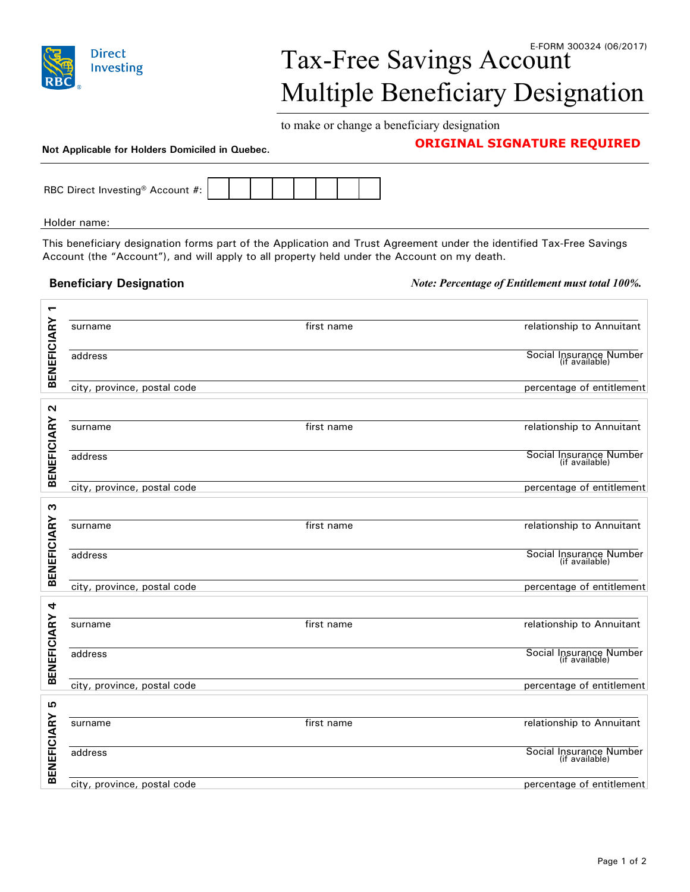

## Tax-Free Savings Account Multiple Beneficiary Designation

to make or change a beneficiary designation

## **Not Applicable for Holders Domiciled in Quebec. Not Applicable for Holders Domiciled in Quebec. Not Applicable for Holders Domiciled in Quebec. Not Applicable for Holders Domiciled in Quebec. Not Applicable for Ho**

| RBC Direct Investing <sup>®</sup> Account #: |  |  |  |  |
|----------------------------------------------|--|--|--|--|

Holder name:

This beneficiary designation forms part of the Application and Trust Agreement under the identified Tax-Free Savings Account (the "Account"), and will apply to all property held under the Account on my death.

**Beneficiary Designation** *Note: Percentage of Entitlement must total 100%.*

|                    | surname                     | first name | relationship to Annuitant                 |
|--------------------|-----------------------------|------------|-------------------------------------------|
| <b>BENEFICIARY</b> | address                     |            | Social Insurance Number<br>(if available) |
|                    | city, province, postal code |            | percentage of entitlement                 |
| N                  |                             |            |                                           |
| <b>BENEFICIARY</b> | surname                     | first name | relationship to Annuitant                 |
|                    | address                     |            | Social Insurance Number<br>(if available) |
|                    | city, province, postal code |            | percentage of entitlement                 |
| S                  |                             |            |                                           |
|                    | surname                     | first name | relationship to Annuitant                 |
| <b>BENEFICIARY</b> | address                     |            | Social Insurance Number<br>(if available) |
|                    | city, province, postal code |            | percentage of entitlement                 |
| 4                  |                             |            |                                           |
|                    | surname                     | first name | relationship to Annuitant                 |
| <b>BENEFICIARY</b> | address                     |            | Social Insurance Number<br>(if available) |
|                    | city, province, postal code |            | percentage of entitlement                 |
| G                  |                             |            |                                           |
| <b>BENEFICIARY</b> | surname                     | first name | relationship to Annuitant                 |
|                    | address                     |            | Social Insurance Number<br>(if available) |
|                    | city, province, postal code |            | percentage of entitlement                 |
|                    |                             |            |                                           |